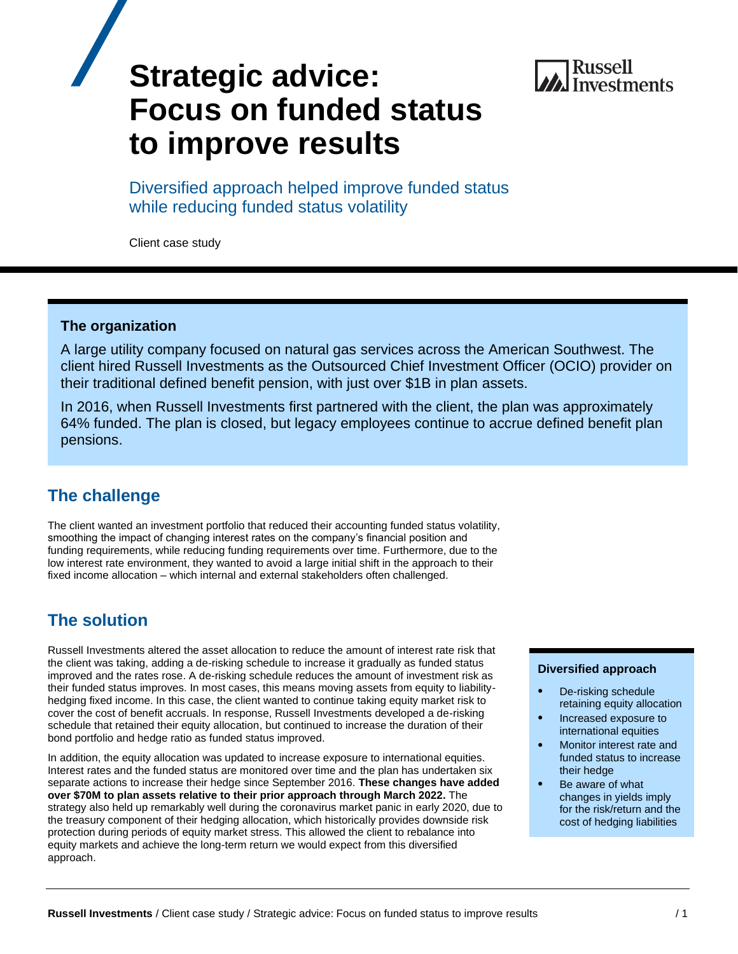

# **Strategic advice: Focus on funded status to improve results**

Diversified approach helped improve funded status while reducing funded status volatility

Client case study

## **The organization**

A large utility company focused on natural gas services across the American Southwest. The client hired Russell Investments as the Outsourced Chief Investment Officer (OCIO) provider on their traditional defined benefit pension, with just over \$1B in plan assets.

In 2016, when Russell Investments first partnered with the client, the plan was approximately 64% funded. The plan is closed, but legacy employees continue to accrue defined benefit plan pensions.

## **The challenge**

The client wanted an investment portfolio that reduced their accounting funded status volatility, smoothing the impact of changing interest rates on the company's financial position and funding requirements, while reducing funding requirements over time. Furthermore, due to the low interest rate environment, they wanted to avoid a large initial shift in the approach to their fixed income allocation – which internal and external stakeholders often challenged.

## **The solution**

Russell Investments altered the asset allocation to reduce the amount of interest rate risk that the client was taking, adding a de-risking schedule to increase it gradually as funded status improved and the rates rose. A de-risking schedule reduces the amount of investment risk as their funded status improves. In most cases, this means moving assets from equity to liabilityhedging fixed income. In this case, the client wanted to continue taking equity market risk to cover the cost of benefit accruals. In response, Russell Investments developed a de-risking schedule that retained their equity allocation, but continued to increase the duration of their bond portfolio and hedge ratio as funded status improved.

In addition, the equity allocation was updated to increase exposure to international equities. Interest rates and the funded status are monitored over time and the plan has undertaken six separate actions to increase their hedge since September 2016. **These changes have added over \$70M to plan assets relative to their prior approach through March 2022.** The strategy also held up remarkably well during the coronavirus market panic in early 2020, due to the treasury component of their hedging allocation, which historically provides downside risk protection during periods of equity market stress. This allowed the client to rebalance into equity markets and achieve the long-term return we would expect from this diversified approach.

#### **Diversified approach**

- De-risking schedule retaining equity allocation
- Increased exposure to international equities
- Monitor interest rate and funded status to increase their hedge
- Be aware of what changes in yields imply for the risk/return and the cost of hedging liabilities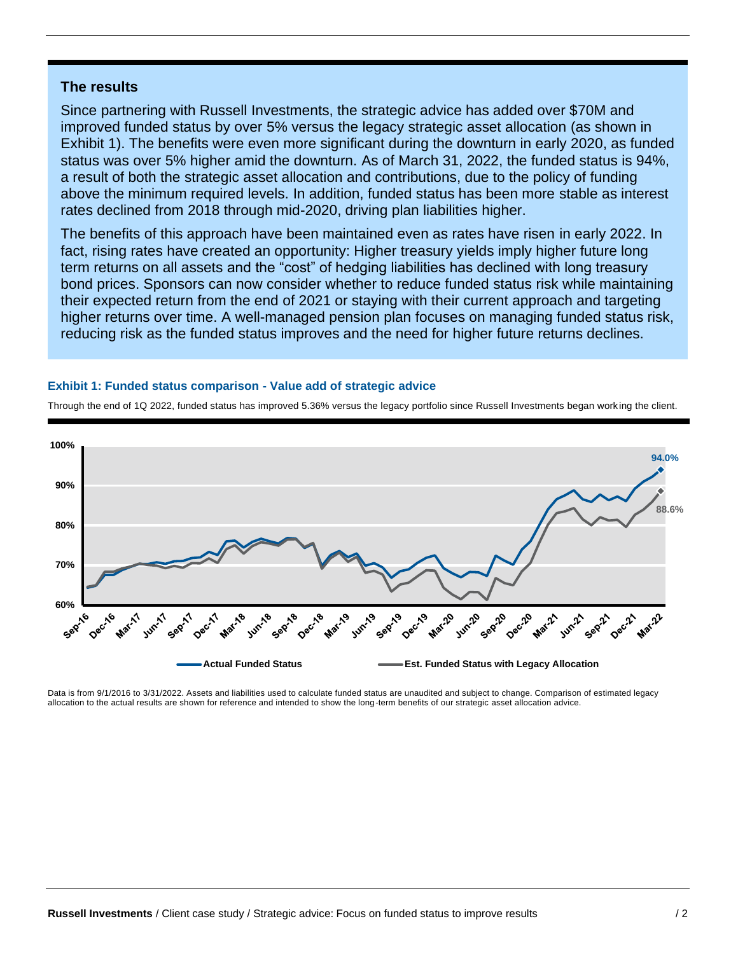## **The results**

Since partnering with Russell Investments, the strategic advice has added over \$70M and improved funded status by over 5% versus the legacy strategic asset allocation (as shown in Exhibit 1). The benefits were even more significant during the downturn in early 2020, as funded status was over 5% higher amid the downturn. As of March 31, 2022, the funded status is 94%, a result of both the strategic asset allocation and contributions, due to the policy of funding above the minimum required levels. In addition, funded status has been more stable as interest rates declined from 2018 through mid-2020, driving plan liabilities higher.

The benefits of this approach have been maintained even as rates have risen in early 2022. In fact, rising rates have created an opportunity: Higher treasury yields imply higher future long term returns on all assets and the "cost" of hedging liabilities has declined with long treasury bond prices. Sponsors can now consider whether to reduce funded status risk while maintaining their expected return from the end of 2021 or staying with their current approach and targeting higher returns over time. A well-managed pension plan focuses on managing funded status risk, reducing risk as the funded status improves and the need for higher future returns declines.

#### **Exhibit 1: Funded status comparison - Value add of strategic advice**



Through the end of 1Q 2022, funded status has improved 5.36% versus the legacy portfolio since Russell Investments began working the client.

Data is from 9/1/2016 to 3/31/2022. Assets and liabilities used to calculate funded status are unaudited and subject to change. Comparison of estimated legacy allocation to the actual results are shown for reference and intended to show the long-term benefits of our strategic asset allocation advice.